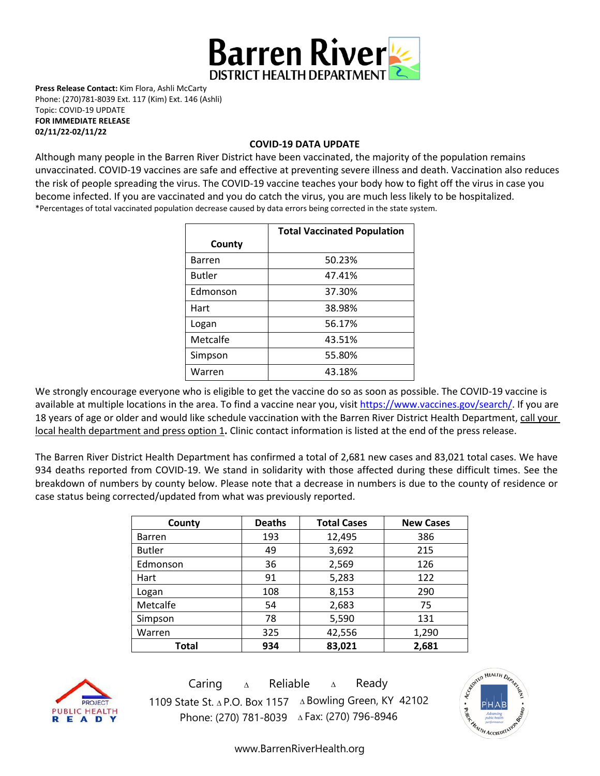

**Press Release Contact:** Kim Flora, Ashli McCarty Phone: (270)781-8039 Ext. 117 (Kim) Ext. 146 (Ashli) Topic: COVID-19 UPDATE **FOR IMMEDIATE RELEASE 02/11/22-02/11/22** 

## **COVID-19 DATA UPDATE**

Although many people in the Barren River District have been vaccinated, the majority of the population remains unvaccinated. COVID-19 vaccines are [safe and effective](https://www.cdc.gov/coronavirus/2019-ncov/vaccines/effectiveness.html) at preventing severe illness and death. Vaccination also reduces the risk of people spreading the virus. The COVID-19 vaccine teaches your body how to fight off the virus in case you become infected. If you are vaccinated and you do catch the virus, you are much less likely to be hospitalized. \*Percentages of total vaccinated population decrease caused by data errors being corrected in the state system.

|               | <b>Total Vaccinated Population</b> |  |
|---------------|------------------------------------|--|
| County        |                                    |  |
| <b>Barren</b> | 50.23%                             |  |
| <b>Butler</b> | 47.41%                             |  |
| Edmonson      | 37.30%                             |  |
| Hart          | 38.98%                             |  |
| Logan         | 56.17%                             |  |
| Metcalfe      | 43.51%                             |  |
| Simpson       | 55.80%                             |  |
| Warren        | 43.18%                             |  |

We strongly encourage everyone who is eligible to get the vaccine do so as soon as possible. The COVID-19 vaccine is available at multiple locations in the area. To find a vaccine near you, visi[t https://www.vaccines.gov/search/.](https://www.vaccines.gov/search/) If you are 18 years of age or older and would like schedule vaccination with the Barren River District Health Department, call your local health department and press option 1**.** Clinic contact information is listed at the end of the press release.

The Barren River District Health Department has confirmed a total of 2,681 new cases and 83,021 total cases. We have 934 deaths reported from COVID-19. We stand in solidarity with those affected during these difficult times. See the breakdown of numbers by county below. Please note that a decrease in numbers is due to the county of residence or case status being corrected/updated from what was previously reported.

| County        | <b>Deaths</b> | <b>Total Cases</b> | <b>New Cases</b> |
|---------------|---------------|--------------------|------------------|
| <b>Barren</b> | 193           | 12,495             | 386              |
| <b>Butler</b> | 49            | 3,692              | 215              |
| Edmonson      | 36            | 2,569              | 126              |
| Hart          | 91            | 5,283              | 122              |
| Logan         | 108           | 8,153              | 290              |
| Metcalfe      | 54            | 2,683              | 75               |
| Simpson       | 5,590<br>78   |                    | 131              |
| Warren        | 325           | 42,556             | 1,290            |
| Total         | 934           | 83,021             | 2,681            |



Caring <sup>∆</sup> Reliable <sup>∆</sup> Ready 1109 State St. ∆ P.O. Box 1157 ∆ Bowling Green, KY 42102 Phone: (270) 781-8039 ∆Fax: (270) 796-8946



[www.BarrenRiverHealth.org](http://www.barrenriverhealth.org/)